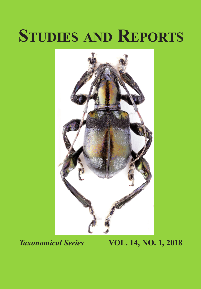# **Studies and Reports**



## *Taxonomical Series* **VOL. 14, NO. 1, 2018**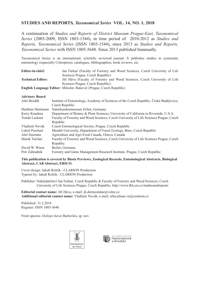### **STUDIES AND REPORTS***, Taxonomical Series* **VOL. 14, NO. 1, 2018**

A continuation of *Studies and Reports of District Museum Prague-East, Taxonomical Series* (2005-2009, ISSN 1803-1544), in time period of 2010-2012 as *Studies and Reports, Taxonomical Series* (ISSN 1803-1544), since 2013 as *Studies and Reports, Taxonomical Series* with ISSN 1805-5648. Since 2013 published biannually.

Taxonomical Series is an international, scientific reviewed journal. It publishes studies in systematic entomology (especially Coleoptera), catalogues, bibliographies, book reviews, etc.

| Editor-in-chief:         | Jan Farkač (Faculty of Forestry and Wood Sciences, Czech University of Life |
|--------------------------|-----------------------------------------------------------------------------|
|                          | Sciences Prague, Czech Republic)                                            |
| <b>Technical Editor:</b> | Jiří Háva (Faculty of Forestry and Wood Sciences, Czech University of Life  |
|                          | Sciences Prague, Czech Republic)                                            |
|                          | <b>English Language Editor:</b> Miloslav Rakovič (Prague, Czech Republic)   |
|                          |                                                                             |

| <b>Advisory Board</b> |                                                                                        |
|-----------------------|----------------------------------------------------------------------------------------|
| Aleš Bezděk           | Institute of Entomology, Academy of Sciences of the Czech Republic, České Budějovice,  |
|                       | Czech Republic                                                                         |
| Matthias Hartmann     | Naturkundesmuseum Erfurt, Germany                                                      |
| Kerry Knudsen         | Department of Botany & Plant Sciences, University of California in Riverside, U.S.A.   |
| Tomáš Lackner         | Faculty of Forestry and Wood Sciences, Czech University of Life Sciences Prague, Czech |
|                       | Republic                                                                               |
| Vladimír Novák        | Czech Entomological Society, Prague, Czech Republic                                    |
| Luboš Purchart        | Mendel University, Department of Forest Ecology, Brno, Czech Republic                  |
| Aleš Smetana          | Agriculture and Agri-Food Canada, Ottava, Canada                                       |
| Marek Turčáni         | Faculty of Forestry and Wood Sciences, Czech University of Life Sciences Prague, Czech |
|                       | Republic                                                                               |
| David W. Wrase        | Berlin, Germany                                                                        |
| Petr Zahradník        | Forestry and Game Management Research Institute, Prague, Czech Republic                |

#### **This publication is covered by Biosis Previews, Zoological Records, Entomological Abstracts, Biological Abstract, CAB Abstract, EBSCO.**

Cover design: Jakub Rolčík - CLARION Production Typeset by: Jakub Rolčík - CLARION Production

Publisher: Nakladatelství Jan Farkač, Czech Republic & Faculty of Forestry and Wood Sciences, Czech University of Life Sciences Prague, Czech Republic, http://www.fld.czu.cz/studiesandreports

**Editorial contact name:** Jiří Háva, e-mail: jh.dermestidae@volny.cz **Additional editorial contact name:** Vladimír Novák, e-mail: alleculinae.vn@centrum.cz

Published: 31.3.2018 Register: ISSN 1805-5648

Front species: *Doliops havai* Barševkis, sp. nov.